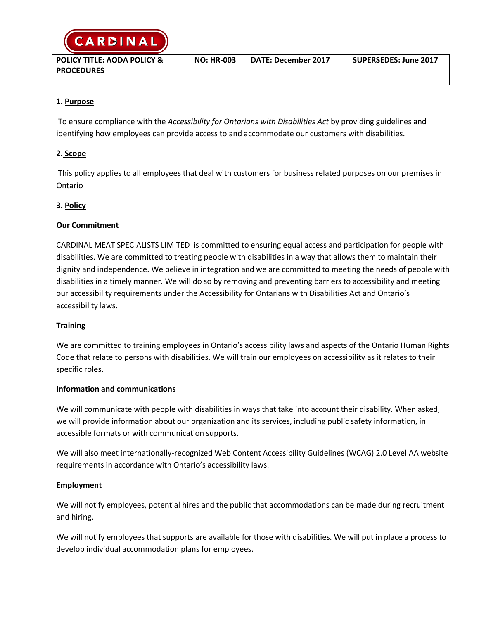

| <b>POLICY TITLE: AODA POLICY &amp;</b> | <b>NO: HR-003</b> | <b>DATE: December 2017</b> | SUPERSEDES: June 2017 |
|----------------------------------------|-------------------|----------------------------|-----------------------|
| <b>PROCEDURES</b>                      |                   |                            |                       |
|                                        |                   |                            |                       |

# **1. Purpose**

To ensure compliance with the *Accessibility for Ontarians with Disabilities Act* by providing guidelines and identifying how employees can provide access to and accommodate our customers with disabilities.

# **2. Scope**

This policy applies to all employees that deal with customers for business related purposes on our premises in Ontario

## **3. Policy**

# **Our Commitment**

CARDINAL MEAT SPECIALISTS LIMITED is committed to ensuring equal access and participation for people with disabilities. We are committed to treating people with disabilities in a way that allows them to maintain their dignity and independence. We believe in integration and we are committed to meeting the needs of people with disabilities in a timely manner. We will do so by removing and preventing barriers to accessibility and meeting our accessibility requirements under the Accessibility for Ontarians with Disabilities Act and Ontario's accessibility laws.

## **Training**

We are committed to training employees in Ontario's accessibility laws and aspects of the Ontario Human Rights Code that relate to persons with disabilities. We will train our employees on accessibility as it relates to their specific roles.

## **Information and communications**

We will communicate with people with disabilities in ways that take into account their disability. When asked, we will provide information about our organization and its services, including public safety information, in accessible formats or with communication supports.

We will also meet internationally-recognized Web Content Accessibility Guidelines (WCAG) 2.0 Level AA website requirements in accordance with Ontario's accessibility laws.

## **Employment**

We will notify employees, potential hires and the public that accommodations can be made during recruitment and hiring.

We will notify employees that supports are available for those with disabilities. We will put in place a process to develop individual accommodation plans for employees.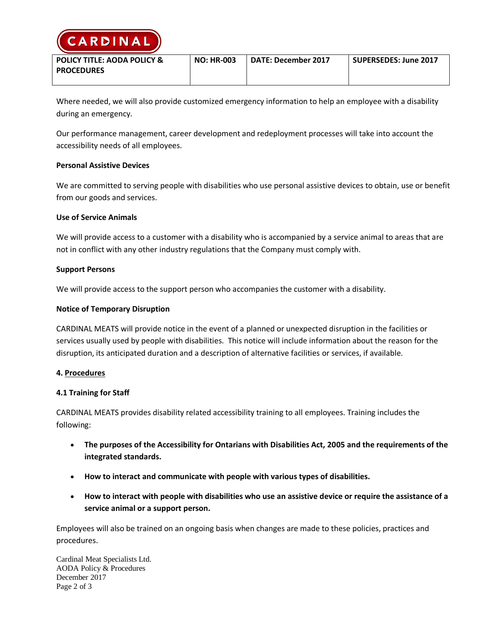

| POLICY TITLE: AODA POLICY & | <b>NO: HR-003</b> | <b>DATE: December 2017</b> | SUPERSEDES: June 2017 |
|-----------------------------|-------------------|----------------------------|-----------------------|
| <b>PROCEDURES</b>           |                   |                            |                       |
|                             |                   |                            |                       |

Where needed, we will also provide customized emergency information to help an employee with a disability during an emergency.

Our performance management, career development and redeployment processes will take into account the accessibility needs of all employees.

## **Personal Assistive Devices**

We are committed to serving people with disabilities who use personal assistive devices to obtain, use or benefit from our goods and services.

#### **Use of Service Animals**

We will provide access to a customer with a disability who is accompanied by a service animal to areas that are not in conflict with any other industry regulations that the Company must comply with.

#### **Support Persons**

We will provide access to the support person who accompanies the customer with a disability.

#### **Notice of Temporary Disruption**

CARDINAL MEATS will provide notice in the event of a planned or unexpected disruption in the facilities or services usually used by people with disabilities. This notice will include information about the reason for the disruption, its anticipated duration and a description of alternative facilities or services, if available.

#### **4. Procedures**

## **4.1 Training for Staff**

CARDINAL MEATS provides disability related accessibility training to all employees. Training includes the following:

- **The purposes of the Accessibility for Ontarians with Disabilities Act, 2005 and the requirements of the integrated standards.**
- **How to interact and communicate with people with various types of disabilities.**
- **How to interact with people with disabilities who use an assistive device or require the assistance of a service animal or a support person.**

Employees will also be trained on an ongoing basis when changes are made to these policies, practices and procedures.

Cardinal Meat Specialists Ltd. AODA Policy & Procedures December 2017 Page 2 of 3